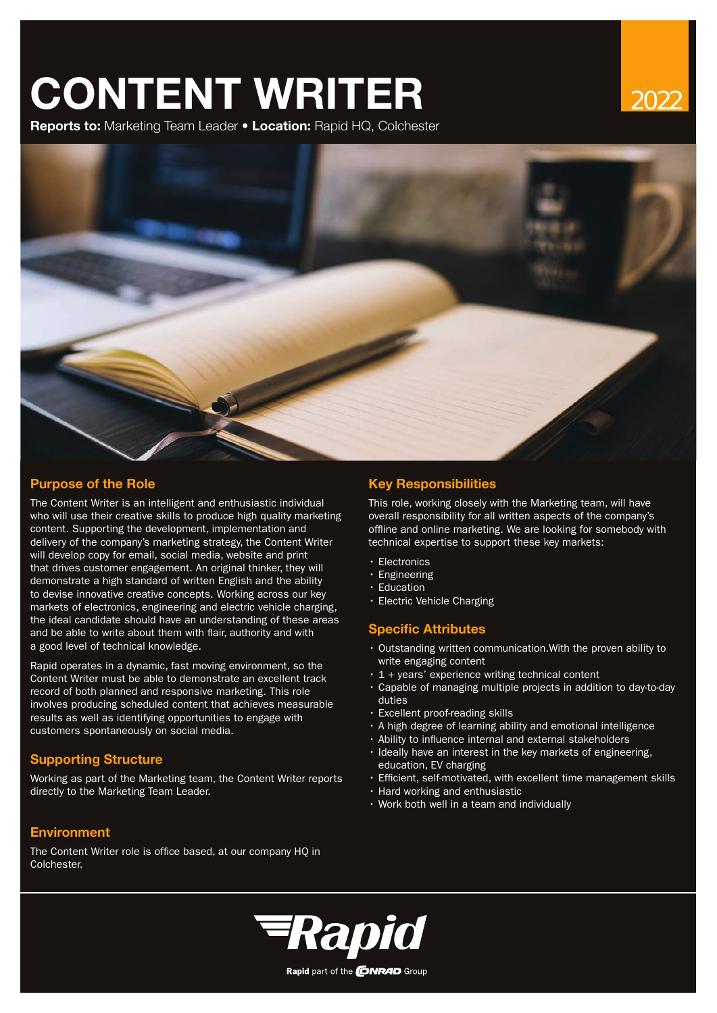# **CONTENT WRITER**

**Reports to:** Marketing Team Leader • **Location:** Rapid HQ, Colchester





# **Purpose of the Role Key Responsibilities**

The Content Writer is an intelligent and enthusiastic individual who will use their creative skills to produce high quality marketing content. Supporting the development, implementation and delivery of the company's marketing strategy, the Content Writer will develop copy for email, social media, website and print that drives customer engagement. An original thinker, they will demonstrate a high standard of written English and the ability to devise innovative creative concepts. Working across our key markets of electronics, engineering and electric vehicle charging, the ideal candidate should have an understanding of these areas and be able to write about them with flair, authority and with a good level of technical knowledge.

Rapid operates in a dynamic, fast moving environment, so the Content Writer must be able to demonstrate an excellent track record of both planned and responsive marketing. This role involves producing scheduled content that achieves measurable results as well as identifying opportunities to engage with customers spontaneously on social media.

# **Supporting Structure**

Working as part of the Marketing team, the Content Writer reports directly to the Marketing Team Leader.

# **Environment**

The Content Writer role is office based, at our company HQ in Colchester.

This role, working closely with the Marketing team, will have overall responsibility for all written aspects of the company's offline and online marketing. We are looking for somebody with technical expertise to support these key markets:

- Electronics
- Engineering
- **Education**
- Electric Vehicle Charging

# **Specific Attributes**

- Outstanding written communication.With the proven ability to write engaging content
- 1 + years' experience writing technical content
- Capable of managing multiple projects in addition to day-to-day duties
- Excellent proof-reading skills
- A high degree of learning ability and emotional intelligence
- Ability to influence internal and external stakeholders
- Ideally have an interest in the key markets of engineering, education, EV charging
- Efficient, self-motivated, with excellent time management skills
- Hard working and enthusiastic
- Work both well in a team and individually